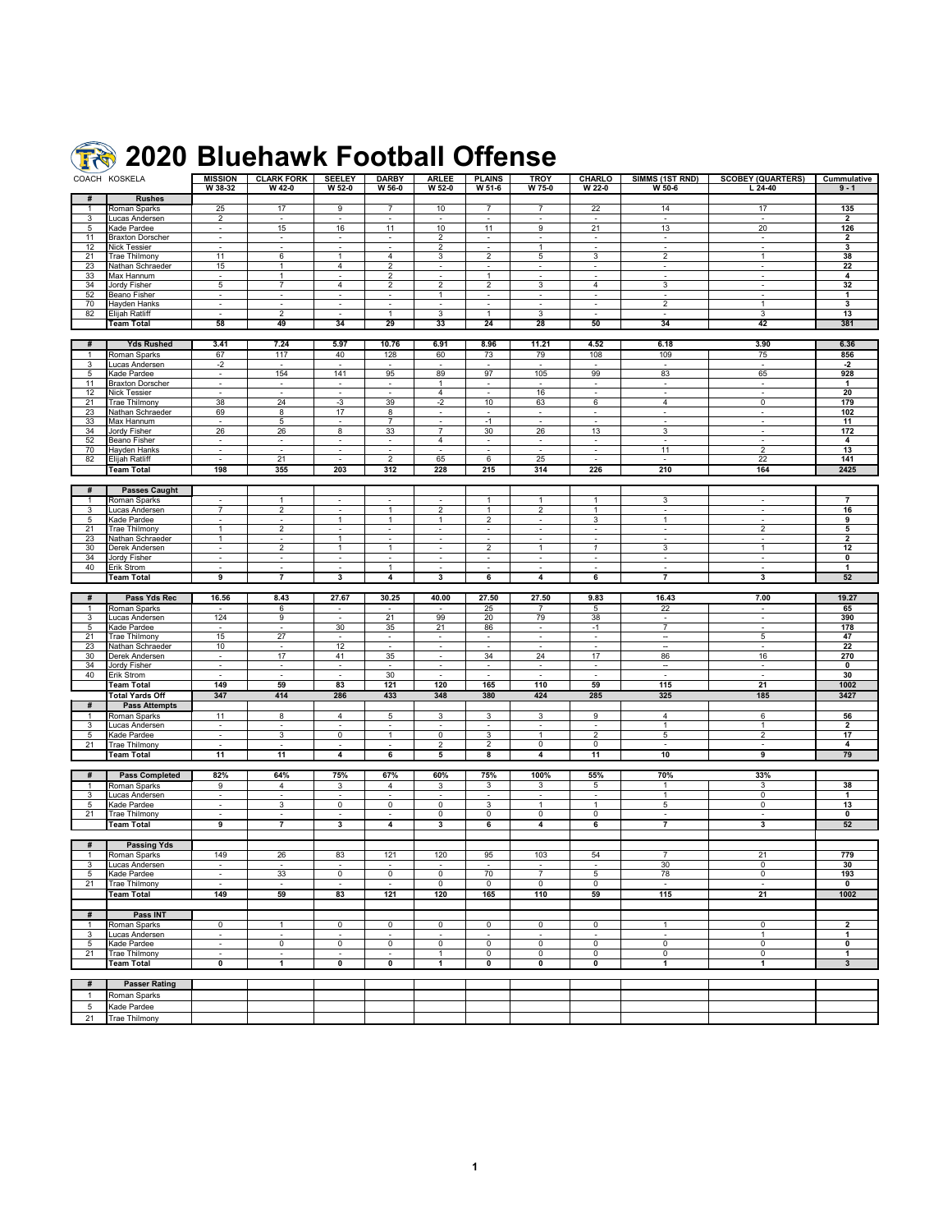## **2020 Bluehawk Football Offense**

|                   | COACH KOSKELA                     | <b>MISSION</b><br>W 38-32          | <b>CLARK FORK</b><br>W 42-0 | <b>SEELEY</b><br>$W$ 52-0   | <b>DARBY</b><br>W 56-0         | <b>ARLEE</b><br>$W$ 52-0 | <b>PLAINS</b><br>$W$ 51-6 | <b>TROY</b><br>W 75-0            | CHARLO<br>W 22-0         | SIMMS (1ST RND)<br>W 50-6        | <b>SCOBEY (QUARTERS)</b><br>$L$ 24-40 | Cummulative<br>$9 - 1$       |
|-------------------|-----------------------------------|------------------------------------|-----------------------------|-----------------------------|--------------------------------|--------------------------|---------------------------|----------------------------------|--------------------------|----------------------------------|---------------------------------------|------------------------------|
| #                 | <b>Rushes</b>                     |                                    |                             |                             |                                |                          |                           |                                  |                          |                                  |                                       |                              |
| $\mathbf{1}$      | Roman Sparks                      | 25                                 | 17                          | 9                           | $\overline{7}$                 | 10                       | $\overline{7}$            | $\overline{7}$                   | 22                       | 14                               | 17                                    | 135                          |
| 3                 | Lucas Andersen                    | $\overline{c}$                     | $\overline{\phantom{a}}$    | $\blacksquare$              | $\overline{\phantom{a}}$       |                          | $\blacksquare$            | $\blacksquare$                   | $\overline{\phantom{a}}$ | $\overline{\phantom{a}}$         | $\blacksquare$                        | $\mathbf{2}$                 |
| 5                 | Kade Pardee                       | $\blacksquare$                     | 15                          | 16                          | 11                             | 10                       | 11                        | 9                                | 21                       | 13                               | 20                                    | 126                          |
| 11                | <b>Braxton Dorscher</b>           | $\overline{\phantom{a}}$           | $\overline{\phantom{a}}$    | $\sim$                      | $\overline{\phantom{a}}$       | 2                        | $\sim$                    | $\overline{\phantom{a}}$         | $\overline{\phantom{a}}$ | $\overline{\phantom{a}}$         | $\blacksquare$                        | $\overline{\mathbf{2}}$      |
| 12                | Nick Tessier                      | $\sim$                             | $\sim$                      | $\sim$                      | $\sim$                         | $\overline{c}$           | $\sim$                    | 1                                | $\sim$                   | $\sim$                           | $\sim$                                | 3                            |
| 21                | <b>Trae Thilmony</b>              | 11                                 | 6                           | 1                           | 4                              | 3                        | $\overline{c}$            | 5                                | 3                        | 2                                | 1                                     | 38                           |
| 23                | Nathan Schraeder                  | 15                                 | 1                           | $\overline{4}$              | $\overline{2}$                 | $\sim$                   | $\sim$                    | $\overline{\phantom{a}}$         | $\blacksquare$           | $\overline{\phantom{a}}$         | $\sim$                                | 22                           |
| 33                | Max Hannum                        | $\sim$                             | 1                           | $\mathcal{L}_{\mathcal{A}}$ | 2                              | $\blacksquare$           | 1                         | $\overline{\phantom{a}}$         | $\sim$                   | $\sim$                           | $\blacksquare$                        | 4                            |
| 34                | Jordy Fisher                      | 5                                  | $\overline{7}$              | 4                           | $\overline{2}$                 | $\overline{2}$           | $\overline{2}$            | 3                                | $\overline{4}$           | 3                                | $\sim$                                | 32                           |
| 52                | <b>Beano Fisher</b>               | $\overline{\phantom{a}}$           | $\sim$                      | $\blacksquare$              | $\sim$                         | $\mathbf{1}$             | $\sim$                    | $\sim$                           | $\sim$                   | $\blacksquare$                   |                                       | $\mathbf{1}$                 |
| 70                | Hayden Hanks                      | $\mathbf{r}$                       | $\sim$                      | $\blacksquare$              | $\sim$                         | $\overline{\phantom{a}}$ | $\sim$                    | $\sim$                           | $\sim$                   | $\overline{2}$                   | $\mathbf{1}$                          | 3                            |
| 82                | <b>Elijah Ratliff</b>             | ÷.                                 | $\overline{2}$              | ÷.                          | $\overline{1}$                 | 3                        | $\mathbf{1}$              | 3                                |                          | $\overline{a}$                   | 3                                     | 13                           |
|                   | <b>Team Total</b>                 | 58                                 | 49                          | 34                          | 29                             | 33                       | 24                        | 28                               | 50                       | 34                               | 42                                    | 381                          |
|                   |                                   |                                    |                             |                             |                                |                          |                           |                                  |                          |                                  |                                       |                              |
| #                 | <b>Yds Rushed</b>                 | 3.41                               | 7.24                        | 5.97                        | 10.76                          | 6.91                     | 8.96                      | 11.21                            | 4.52                     | 6.18                             | 3.90                                  | 6.36                         |
| $\mathbf{1}$      | Roman Sparks                      | 67                                 | 117                         | 40                          | 128                            | 60                       | 73                        | 79                               | 108                      | 109                              | 75                                    | 856                          |
| 3                 | Lucas Andersen                    | $-2$                               | $\overline{\phantom{a}}$    | $\blacksquare$              | $\overline{\phantom{a}}$       | $\blacksquare$           | $\blacksquare$            | $\overline{\phantom{a}}$         | $\blacksquare$           | $\sim$                           | $\sim$                                | -2                           |
| 5                 | Kade Pardee                       | $\blacksquare$                     | 154                         | 141                         | 95                             | 89                       | 97                        | 105                              | 99                       | 83                               | 65                                    | 928                          |
| 11                | <b>Braxton Dorscher</b>           | $\sim$                             | $\sim$                      | $\sim$                      |                                | $\mathbf{1}$             |                           |                                  | $\sim$                   | $\blacksquare$                   | $\sim$                                | $\mathbf{1}$                 |
| 12                | <b>Nick Tessier</b>               |                                    |                             | $\blacksquare$              |                                | 4                        |                           | 16                               |                          | $\blacksquare$<br>$\overline{4}$ | $\overline{0}$                        | 20                           |
| 21<br>23          | Trae Thilmony<br>Nathan Schraeder | 38<br>69                           | 24<br>8                     | -3<br>17                    | 39<br>8                        | $-2$<br>$\blacksquare$   | 10                        | 63<br>$\overline{\phantom{m}}$   | 6                        | $\overline{a}$                   | $\blacksquare$                        | 179<br>102                   |
| 33                | Max Hannum                        |                                    | 5                           | ä,                          | $\overline{7}$                 | $\overline{\phantom{a}}$ | $-1$                      |                                  |                          | $\blacksquare$                   | $\omega$                              | 11                           |
| 34                | Jordy Fisher                      | 26                                 | 26                          | $\overline{\mathbf{8}}$     | 33                             | $\overline{7}$           | 30                        | 26                               | 13                       | 3                                | $\blacksquare$                        | 172                          |
| 52                | Beano Fisher                      | $\blacksquare$                     | $\sim$                      | $\sim$                      | $\sim$                         | $\overline{4}$           | $\sim$                    | $\sim$                           | $\sim$                   | $\blacksquare$                   | $\sim$                                | 4                            |
| 70                | Hayden Hanks                      | $\sim$                             | $\sim$                      | $\sim$                      | $\sim$                         | $\sim$                   | $\sim$                    | $\sim$                           | $\sim$                   | 11                               | $\overline{2}$                        | 13                           |
| 82                | Elijah Ratliff                    |                                    | 21                          |                             | $\overline{2}$                 | 65                       | 6                         | 25                               |                          | $\sim$                           | 22                                    | 141                          |
|                   | <b>Team Total</b>                 | 198                                | 355                         | 203                         | 312                            | 228                      | 215                       | 314                              | 226                      | 210                              | 164                                   | 2425                         |
|                   |                                   |                                    |                             |                             |                                |                          |                           |                                  |                          |                                  |                                       |                              |
| #                 | <b>Passes Caught</b>              |                                    |                             |                             |                                |                          |                           |                                  |                          |                                  |                                       |                              |
| $\mathbf{1}$      | Roman Sparks                      |                                    | $\mathbf{1}$                | ÷.                          | $\overline{a}$                 |                          | $\mathbf{1}$              | $\mathbf{1}$                     | $\mathbf{1}$             | 3                                | $\overline{\phantom{a}}$              | $\overline{7}$               |
| 3                 | Lucas Andersen                    | $\overline{7}$                     | $\overline{2}$              | ä,                          | $\mathbf{1}$                   | 2                        | $\mathbf{1}$              | $\overline{2}$                   | $\mathbf{1}$             | $\blacksquare$                   | $\overline{\phantom{a}}$              | 16                           |
| 5                 | Kade Pardee                       | $\sim$                             | $\sim$                      | $\overline{1}$              | $\overline{1}$                 | $\overline{1}$           | $\overline{2}$            | $\blacksquare$                   | 3                        | $\overline{1}$                   | $\sim$                                | 9                            |
| 21                | Trae Thilmony                     | $\overline{1}$                     | $\overline{2}$              | $\sim$                      | $\overline{\phantom{a}}$       | $\sim$                   | $\blacksquare$            | $\sim$                           | $\sim$                   | $\overline{\phantom{a}}$         | $\overline{2}$                        | 5                            |
| 23                | Nathan Schraeder                  | $\mathbf{1}$                       | $\sim$                      | $\overline{1}$              | ÷.                             | $\sim$                   | $\sim$                    | $\sim$                           | $\sim$                   | $\sim$                           | $\sim$                                | $\mathbf{2}$                 |
| 30                | Derek Andersen                    | $\blacksquare$                     | $\overline{2}$              | 1                           | $\overline{1}$                 |                          | $\overline{2}$            | $\mathbf{1}$                     | $\mathbf{1}$             | 3                                | $\mathbf{1}$                          | 12                           |
| 34                | Jordy Fisher                      | $\sim$<br>$\overline{\phantom{a}}$ | ÷.                          | $\sim$<br>$\blacksquare$    | ÷,<br>$\mathbf{1}$             |                          | ÷,<br>÷.                  |                                  |                          |                                  |                                       | 0<br>1                       |
| 40                | Erik Strom<br><b>Team Total</b>   | 9                                  | $\overline{7}$              | 3                           | 4                              | 3                        | 6                         | 4                                | 6                        | $\overline{7}$                   | 3                                     | 52                           |
|                   |                                   |                                    |                             |                             |                                |                          |                           |                                  |                          |                                  |                                       |                              |
| #                 | Pass Yds Rec                      | 16.56                              | 8.43                        | 27.67                       | 30.25                          | 40.00                    | 27.50                     | 27.50                            | 9.83                     | 16.43                            | 7.00                                  | 19.27                        |
|                   | Roman Sparks                      |                                    | 6                           | ÷.                          |                                |                          | 25                        | $\overline{7}$                   | 5                        | 22                               | $\omega$                              | 65                           |
| 3                 | Lucas Andersen                    | 124                                | 9                           | $\sim$                      | 21                             | 99                       | 20                        | 79                               | 38                       | $\overline{\phantom{a}}$         | $\blacksquare$                        | 390                          |
| 5                 | Kade Pardee                       | $\sim$                             | $\overline{\phantom{a}}$    | 30                          | 35                             | 21                       | 86                        | $\overline{\phantom{a}}$         | $-1$                     | $\overline{7}$                   | $\sim$                                | 178                          |
| 21                | Trae Thilmony                     | 15                                 | 27                          |                             |                                | $\overline{a}$           |                           |                                  |                          | $\overline{\phantom{a}}$         | 5                                     | 47                           |
| 23                | Nathan Schraeder                  | 10                                 |                             | 12                          |                                | $\sim$                   | $\overline{a}$            |                                  |                          | ÷.                               |                                       | 22                           |
| 30                | Derek Andersen                    | $\blacksquare$                     | 17                          | 41                          | 35                             | $\sim$                   | 34                        | 24                               | 17                       | 86                               | 16                                    | 270                          |
| 34                | Jordy Fisher                      | $\blacksquare$                     |                             | ٠                           |                                |                          |                           | $\overline{\phantom{a}}$         |                          | $\overline{\phantom{a}}$         | $\blacksquare$                        | 0                            |
| 40                | Erik Strom                        |                                    |                             |                             | 30                             |                          |                           |                                  |                          |                                  |                                       | 30                           |
|                   | <b>Team Total</b>                 | 149                                | 59                          | 83                          | 121                            | 120                      | 165                       | 110                              | 59                       | 115                              | 21                                    | 1002                         |
|                   | <b>Total Yards Off</b>            | 347                                | 414                         | 286                         | 433                            | 348                      | 380                       | 424                              | 285                      | 325                              | 185                                   | 3427                         |
| #                 | <b>Pass Attempts</b>              |                                    |                             |                             |                                |                          |                           |                                  |                          |                                  |                                       |                              |
| $\mathbf{1}$      | Roman Sparks                      | 11                                 | 8                           | $\overline{4}$              | 5                              | 3                        | 3                         | 3                                | 9                        | 4                                | 6                                     | 56                           |
| 3<br>5            | Lucas Andersen                    | $\overline{\phantom{a}}$<br>$\sim$ | $\sim$<br>3                 | ä,<br>0                     | $\blacksquare$<br>$\mathbf{1}$ | 0                        | $\sim$<br>3               | $\blacksquare$<br>$\overline{1}$ | ÷,<br>$\overline{2}$     | $\mathbf{1}$<br>5                | 1<br>$\overline{\mathbf{c}}$          | $\overline{2}$<br>17         |
| 21                | Kade Pardee<br>Trae Thilmony      | $\overline{\phantom{a}}$           |                             |                             |                                | 2                        | $\overline{\mathbf{c}}$   | 0                                | 0                        |                                  |                                       | 4                            |
|                   | <b>Team Total</b>                 | 11                                 | 11                          | 4                           | 6                              | 5                        | 8                         | 4                                | 11                       | 10                               | 9                                     | 79                           |
|                   |                                   |                                    |                             |                             |                                |                          |                           |                                  |                          |                                  |                                       |                              |
| #                 | <b>Pass Completed</b>             | 82%                                | 64%                         | 75%                         | 67%                            | 60%                      | 75%                       | 100%                             | 55%                      | 70%                              | 33%                                   |                              |
|                   | Roman Sparks                      | 9                                  | $\overline{4}$              | 3                           | $\overline{4}$                 | 3                        | 3                         | 3                                | 5                        | $\mathbf{1}$                     | 3                                     | 38                           |
| 3                 | Lucas Andersen                    | $\overline{\phantom{a}}$           | $\sim$                      |                             |                                |                          |                           |                                  | $\sim$                   | $\mathbf{1}$                     | 0                                     | 1                            |
| 5                 | Kade Pardee                       | $\sim$                             | 3                           | $\overline{0}$              | $\overline{0}$                 | $\mathbf 0$              | 3                         | $\overline{1}$                   | $\mathbf{1}$             | 5                                | 0                                     | 13                           |
| 21                | Trae Thilmony                     | $\blacksquare$                     |                             | $\blacksquare$              |                                | 0                        | 0                         | 0                                | 0                        | $\overline{\phantom{a}}$         | $\sim$                                | 0                            |
|                   | <b>Team Total</b>                 | 9                                  | 7                           | 3                           | 4                              | 3                        | 6                         | 4                                | 6                        | 7                                | 3                                     | 52                           |
|                   |                                   |                                    |                             |                             |                                |                          |                           |                                  |                          |                                  |                                       |                              |
| #                 | <b>Passing Yds</b>                |                                    |                             |                             |                                |                          |                           |                                  |                          |                                  |                                       |                              |
| $\mathbf{1}$      | Roman Sparks                      | 149                                | 26                          | 83                          | 121                            | 120                      | 95                        | 103                              | 54                       | $\overline{7}$                   | 21                                    | 779                          |
| 3                 | Lucas Andersen                    | ÷                                  | $\sim$                      | ä,                          | $\sim$                         |                          | ÷.                        | $\sim$                           |                          | 30                               | $\mathbf 0$                           | 30                           |
| 5                 | Kade Pardee                       |                                    | 33                          | $\overline{\mathbf{0}}$     | $\overline{0}$                 | $\overline{0}$           | 70                        | $\overline{7}$                   | 5                        | 78                               | 0                                     | 193                          |
| 21                | Trae Thilmony                     | $\sim$                             | $\sim$                      | $\omega$                    | $\sim$                         | $\mathbf 0$              | $\mathbf 0$               | $\overline{0}$                   | $\overline{0}$           | $\sim$                           | $\sim$                                | 0                            |
|                   | <b>Team Total</b>                 | 149                                | 59                          | 83                          | 121                            | 120                      | 165                       | 110                              | 59                       | 115                              | 21                                    | 1002                         |
|                   |                                   |                                    |                             |                             |                                |                          |                           |                                  |                          |                                  |                                       |                              |
| #<br>$\mathbf{1}$ | Pass INT                          |                                    |                             |                             |                                |                          |                           |                                  |                          |                                  |                                       |                              |
| 3                 | Roman Sparks<br>Lucas Andersen    | $\mathbf 0$<br>٠                   | 1                           | 0                           | $\mathbf 0$                    | 0                        | 0                         | 0                                | 0                        | $\mathbf{1}$<br>÷                | 0<br>$\mathbf{1}$                     | $\mathbf{2}$<br>$\mathbf{1}$ |
| 5                 | Kade Pardee                       | $\omega$                           | $\overline{0}$              | $\overline{0}$              | 0                              | $\overline{\mathbf{0}}$  | $\overline{0}$            | $\overline{0}$                   | $\overline{0}$           | $\overline{0}$                   | $\overline{0}$                        | 0                            |
| 21                | Trae Thilmony                     | $\omega$                           | $\overline{\phantom{a}}$    | ÷.                          |                                | $\mathbf{1}$             | $\mathbf 0$               | 0                                | 0                        | $\overline{0}$                   | $\overline{0}$                        | $\mathbf{1}$                 |
|                   | <b>Team Total</b>                 | 0                                  | 1                           | 0                           | 0                              | $\mathbf{1}$             | 0                         | 0                                | 0                        | $\mathbf{1}$                     | $\overline{1}$                        | $\mathbf{3}$                 |
|                   |                                   |                                    |                             |                             |                                |                          |                           |                                  |                          |                                  |                                       |                              |
| #                 | <b>Passer Rating</b>              |                                    |                             |                             |                                |                          |                           |                                  |                          |                                  |                                       |                              |
| $\mathbf{1}$      | Roman Sparks                      |                                    |                             |                             |                                |                          |                           |                                  |                          |                                  |                                       |                              |
| 5                 | Kade Pardee                       |                                    |                             |                             |                                |                          |                           |                                  |                          |                                  |                                       |                              |
| 21                | Trae Thilmony                     |                                    |                             |                             |                                |                          |                           |                                  |                          |                                  |                                       |                              |
|                   |                                   |                                    |                             |                             |                                |                          |                           |                                  |                          |                                  |                                       |                              |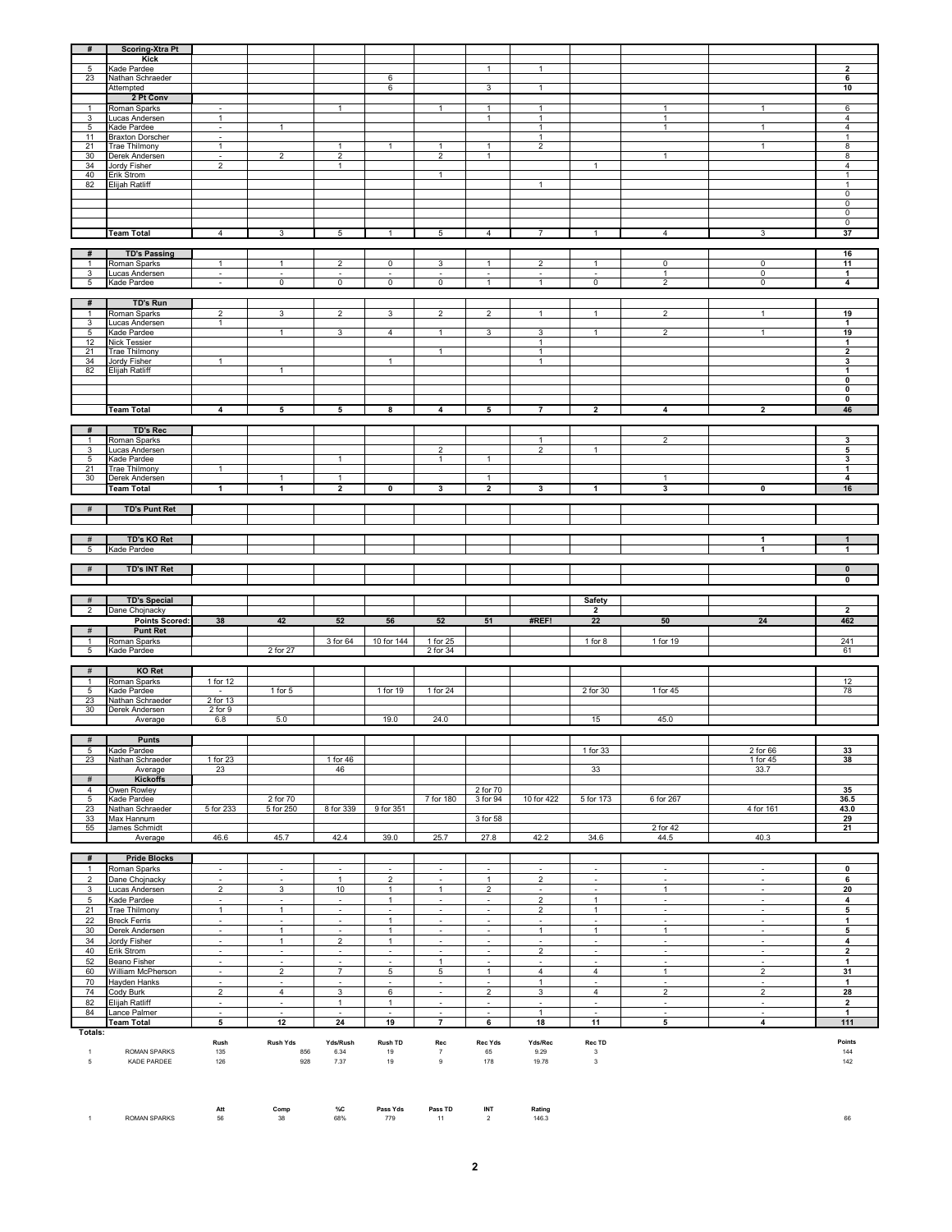| #                   | <b>Scoring-Xtra Pt</b><br>Kick         |                                    |                                            |                                      |                                            |                                            |                                       |                                            |                                            |                                          |                                    |                                         |
|---------------------|----------------------------------------|------------------------------------|--------------------------------------------|--------------------------------------|--------------------------------------------|--------------------------------------------|---------------------------------------|--------------------------------------------|--------------------------------------------|------------------------------------------|------------------------------------|-----------------------------------------|
| 5                   | Kade Pardee                            |                                    |                                            |                                      |                                            |                                            | $\mathbf{1}$                          | $\mathbf{1}$                               |                                            |                                          |                                    | $\overline{\mathbf{2}}$                 |
| 23                  | Nathan Schraeder<br>Attempted          |                                    |                                            |                                      | 6<br>6                                     |                                            | 3                                     | $\mathbf{1}$                               |                                            |                                          |                                    | 6<br>10                                 |
|                     | 2 Pt Conv                              |                                    |                                            |                                      |                                            |                                            |                                       |                                            |                                            |                                          |                                    |                                         |
|                     | Roman Sparks                           | $\overline{\phantom{a}}$           |                                            | $\mathbf{1}$                         |                                            | $\mathbf{1}$                               | $\mathbf{1}$                          | $\mathbf{1}$                               |                                            | 1                                        | $\mathbf{1}$                       | 6                                       |
| 3<br>5              | Lucas Andersen<br>Kade Pardee          | $\mathbf{1}$<br>÷,                 | $\mathbf{1}$                               |                                      |                                            |                                            | $\mathbf{1}$                          | $\mathbf{1}$<br>$\mathbf{1}$               |                                            | $\mathbf{1}$<br>$\mathbf{1}$             | $\mathbf{1}$                       | $\overline{4}$<br>$\overline{4}$        |
| 11                  | <b>Braxton Dorscher</b>                | $\overline{\phantom{a}}$           |                                            |                                      |                                            |                                            |                                       | $\mathbf{1}$                               |                                            |                                          |                                    | $\mathbf{1}$                            |
| 21<br>30            | <b>Trae Thilmony</b><br>Derek Andersen | $\mathbf{1}$<br>$\blacksquare$     | $\overline{\mathbf{2}}$                    | $\mathbf{1}$<br>$\overline{2}$       | $\mathbf{1}$                               | $\mathbf{1}$<br>$\overline{2}$             | $\mathbf{1}$<br>1                     | $\overline{\mathbf{c}}$                    |                                            | $\mathbf{1}$                             | $\mathbf{1}$                       | $\overline{\mathbf{8}}$<br>8            |
| 34                  | Jordy Fisher                           | $\overline{2}$                     |                                            | $\mathbf{1}$                         |                                            |                                            |                                       |                                            | $\mathbf{1}$                               |                                          |                                    | $\overline{4}$                          |
| 40<br>82            | Erik Strom<br><b>Elijah Ratliff</b>    |                                    |                                            |                                      |                                            | $\overline{1}$                             |                                       | 1                                          |                                            |                                          |                                    | $\mathbf{1}$<br>$\mathbf{1}$            |
|                     |                                        |                                    |                                            |                                      |                                            |                                            |                                       |                                            |                                            |                                          |                                    | $\mathsf 0$                             |
|                     |                                        |                                    |                                            |                                      |                                            |                                            |                                       |                                            |                                            |                                          |                                    | 0<br>0                                  |
|                     |                                        |                                    |                                            |                                      |                                            |                                            |                                       |                                            |                                            |                                          |                                    | $\mathbf 0$                             |
|                     | <b>Team Total</b>                      | $\overline{4}$                     | 3                                          | 5                                    | $\mathbf{1}$                               | 5                                          | 4                                     | 7                                          | $\mathbf{1}$                               | $\overline{4}$                           | 3                                  | 37                                      |
| #                   | <b>TD's Passing</b>                    |                                    |                                            |                                      |                                            |                                            |                                       |                                            |                                            |                                          |                                    | 16                                      |
| 1                   | Roman Sparks                           | $\mathbf{1}$                       | $\mathbf{1}$                               | $\overline{2}$                       | $\overline{0}$                             | 3                                          | $\mathbf{1}$                          | 2                                          | $\mathbf{1}$                               | $\overline{0}$                           | $\overline{0}$                     | 11                                      |
| $\overline{3}$<br>5 | Lucas Andersen<br>Kade Pardee          | $\sim$<br>$\sim$                   | $\overline{\phantom{a}}$<br>$\overline{0}$ | $\sim$<br>$\overline{0}$             | $\overline{\phantom{a}}$<br>$\overline{0}$ | $\overline{\phantom{a}}$<br>$\overline{0}$ | $\sim$<br>$\mathbf{1}$                | $\overline{\phantom{a}}$<br>$\mathbf{1}$   | $\overline{\phantom{a}}$<br>$\mathsf 0$    | $\mathbf{1}$<br>$\overline{2}$           | $\overline{0}$<br>$\overline{0}$   | $\mathbf{1}$<br>$\overline{\mathbf{4}}$ |
|                     |                                        |                                    |                                            |                                      |                                            |                                            |                                       |                                            |                                            |                                          |                                    |                                         |
| #                   | TD's Run<br>Roman Sparks               | $\overline{c}$                     | 3                                          | $\overline{2}$                       | 3                                          | $\overline{2}$                             | $\overline{2}$                        | $\mathbf{1}$                               | $\overline{1}$                             | $\overline{2}$                           | $\mathbf{1}$                       | 19                                      |
| 3                   | Lucas Andersen                         | 1                                  |                                            |                                      |                                            |                                            |                                       |                                            |                                            |                                          |                                    | 1                                       |
| 5<br>12             | Kade Pardee<br>Nick Tessier            |                                    | $\mathbf{1}$                               | 3                                    | 4                                          | $\mathbf{1}$                               | 3                                     | 3<br>$\mathbf{1}$                          | $\mathbf{1}$                               | $\overline{2}$                           | $\mathbf{1}$                       | 19<br>$\mathbf{1}$                      |
| 21                  | <b>Trae Thilmony</b>                   |                                    |                                            |                                      |                                            | $\mathbf{1}$                               |                                       | $\mathbf{1}$                               |                                            |                                          |                                    | $\overline{2}$                          |
| 34<br>82            | Jordy Fisher<br>Elijah Ratliff         | $\mathbf{1}$                       | $\mathbf{1}$                               |                                      | $\mathbf{1}$                               |                                            |                                       | $\mathbf{1}$                               |                                            |                                          |                                    | 3<br>1                                  |
|                     |                                        |                                    |                                            |                                      |                                            |                                            |                                       |                                            |                                            |                                          |                                    | $\overline{\mathbf{0}}$                 |
|                     |                                        |                                    |                                            |                                      |                                            |                                            |                                       |                                            |                                            |                                          |                                    | $\overline{\mathbf{0}}$<br>0            |
|                     | <b>Team Total</b>                      | 4                                  | 5                                          | 5                                    | 8                                          | 4                                          | 5                                     | $\overline{7}$                             | $\overline{2}$                             | 4                                        | $\overline{2}$                     | 46                                      |
|                     |                                        |                                    |                                            |                                      |                                            |                                            |                                       |                                            |                                            |                                          |                                    |                                         |
| #<br>-1             | <b>TD's Rec</b><br>Roman Sparks        |                                    |                                            |                                      |                                            |                                            |                                       | $\mathbf{1}$                               |                                            | $\overline{\mathbf{2}}$                  |                                    | 3                                       |
| $\mathbf{3}$        | Lucas Andersen                         |                                    |                                            |                                      |                                            | $\overline{c}$                             |                                       | 2                                          | $\mathbf{1}$                               |                                          |                                    | 5                                       |
| 5<br>21             | Kade Pardee<br><b>Trae Thilmony</b>    | $\mathbf{1}$                       |                                            | $\mathbf{1}$                         |                                            | $\mathbf{1}$                               | $\mathbf{1}$                          |                                            |                                            |                                          |                                    | 3<br>$\overline{1}$                     |
| 30                  | Derek Andersen                         |                                    | $\mathbf{1}$                               | 1                                    |                                            |                                            | $\mathbf{1}$                          |                                            |                                            | -1                                       |                                    | $\overline{\mathbf{4}}$                 |
|                     | Team Total                             | 1                                  | $\mathbf{1}$                               | $\overline{\mathbf{2}}$              | 0                                          | 3                                          | $\overline{2}$                        | 3                                          | $\mathbf{1}$                               | 3                                        | 0                                  | 16                                      |
| #                   | <b>TD's Punt Ret</b>                   |                                    |                                            |                                      |                                            |                                            |                                       |                                            |                                            |                                          |                                    |                                         |
|                     |                                        |                                    |                                            |                                      |                                            |                                            |                                       |                                            |                                            |                                          |                                    |                                         |
| #                   | TD's KO Ret                            |                                    |                                            |                                      |                                            |                                            |                                       |                                            |                                            |                                          | 1                                  | $\mathbf{1}$                            |
| 5                   | Kade Pardee                            |                                    |                                            |                                      |                                            |                                            |                                       |                                            |                                            |                                          | 1                                  | 1                                       |
| #                   | TD's INT Ret                           |                                    |                                            |                                      |                                            |                                            |                                       |                                            |                                            |                                          |                                    | $\overline{\mathbf{0}}$                 |
|                     |                                        |                                    |                                            |                                      |                                            |                                            |                                       |                                            |                                            |                                          |                                    |                                         |
|                     |                                        |                                    |                                            |                                      |                                            |                                            |                                       |                                            |                                            |                                          |                                    | $\overline{\mathbf{0}}$                 |
|                     |                                        |                                    |                                            |                                      |                                            |                                            |                                       |                                            |                                            |                                          |                                    |                                         |
| #<br>$\overline{2}$ | <b>TD's Special</b><br>Dane Chojnacky  |                                    |                                            |                                      |                                            |                                            |                                       |                                            | <b>Safety</b><br>$\overline{2}$            |                                          |                                    | $\overline{\mathbf{2}}$                 |
|                     | <b>Points Scored:</b>                  | 38                                 | 42                                         | 52                                   | 56                                         | 52                                         | 51                                    | #REF!                                      | 22                                         | 50                                       | 24                                 | 462                                     |
| #                   | <b>Punt Ret</b>                        |                                    |                                            |                                      |                                            |                                            |                                       |                                            |                                            |                                          |                                    |                                         |
| $\mathbf{1}$<br>5   | Roman Sparks<br>Kade Pardee            |                                    | 2 for 27                                   | 3 for 64                             | 10 for 144                                 | 1 for 25<br>2 for 34                       |                                       |                                            | 1 for $8$                                  | 1 for 19                                 |                                    | 241<br>61                               |
|                     |                                        |                                    |                                            |                                      |                                            |                                            |                                       |                                            |                                            |                                          |                                    |                                         |
| #                   | KO Ret<br>Roman Sparks                 | 1 for 12                           |                                            |                                      |                                            |                                            |                                       |                                            |                                            |                                          |                                    | 12                                      |
| 5                   | Kade Pardee                            | $\sim$                             | 1 for $5$                                  |                                      | 1 for 19                                   | 1 for 24                                   |                                       |                                            | 2 for 30                                   | 1 for 45                                 |                                    | 78                                      |
| 23<br>30            | Nathan Schraeder<br>Derek Andersen     | 2 for 13<br>$2$ for $9$            |                                            |                                      |                                            |                                            |                                       |                                            |                                            |                                          |                                    |                                         |
|                     | Average                                | 6.8                                | 5.0                                        |                                      | 19.0                                       | 24.0                                       |                                       |                                            | 15                                         | 45.0                                     |                                    |                                         |
| #                   | Punts                                  |                                    |                                            |                                      |                                            |                                            |                                       |                                            |                                            |                                          |                                    |                                         |
| 5                   | Kade Pardee                            |                                    |                                            |                                      |                                            |                                            |                                       |                                            | 1 for 33                                   |                                          | 2 for 66                           | 33                                      |
| 23                  | Nathan Schraeder<br>Average            | 1 for 23<br>23                     |                                            | 1 for 46<br>46                       |                                            |                                            |                                       |                                            | 33                                         |                                          | 1 for 45<br>33.7                   | 38                                      |
| #                   | <b>Kickoffs</b>                        |                                    |                                            |                                      |                                            |                                            |                                       |                                            |                                            |                                          |                                    |                                         |
| 4<br>5              | Owen Rowley<br>Kade Pardee             |                                    | 2 for 70                                   |                                      |                                            | 7 for 180                                  | 2 for 70<br>3 for 94                  | 10 for 422                                 | 5 for 173                                  | 6 for 267                                |                                    | 35<br>36.5                              |
| 23                  | Nathan Schraeder                       | 5 for 233                          | 5 for 250                                  | 8 for 339                            | 9 for 351                                  |                                            |                                       |                                            |                                            |                                          | 4 for 161                          | 43.0                                    |
| 33<br>55            | Max Hannum<br>James Schmidt            |                                    |                                            |                                      |                                            |                                            | 3 for 58                              |                                            |                                            | 2 for 42                                 |                                    | 29<br>21                                |
|                     | Average                                | 46.6                               | 45.7                                       | 42.4                                 | 39.0                                       | 25.7                                       | 27.8                                  | 42.2                                       | 34.6                                       | 44.5                                     | 40.3                               |                                         |
| #                   | <b>Pride Blocks</b>                    |                                    |                                            |                                      |                                            |                                            |                                       |                                            |                                            |                                          |                                    |                                         |
| $\mathbf{1}$        | Roman Sparks                           | $\blacksquare$                     | $\blacksquare$                             | $\blacksquare$                       | $\blacksquare$                             | $\overline{\phantom{a}}$                   | $\blacksquare$                        | $\overline{\phantom{a}}$                   | $\blacksquare$                             | $\blacksquare$                           | $\blacksquare$                     | 0                                       |
| $\overline{c}$      | Dane Chojnacky                         | $\blacksquare$                     | $\blacksquare$                             | $\mathbf{1}$                         | $\overline{2}$                             | $\overline{\phantom{a}}$                   | $\mathbf{1}$                          | $\boldsymbol{2}$                           | $\overline{\phantom{a}}$                   | $\blacksquare$                           | $\blacksquare$                     | 6                                       |
| 3<br>5              | Lucas Andersen<br>Kade Pardee          | $\overline{2}$<br>$\omega$         | $\ensuremath{\mathsf{3}}$<br>$\omega$      | 10<br>$\omega$                       | $\mathbf{1}$<br>$\mathbf{1}$               | $\mathbf{1}$<br>$\omega$                   | $\overline{2}$<br>$\omega$            | $\blacksquare$<br>$\overline{2}$           | $\sim$<br>$\mathbf{1}$                     | 1<br>$\omega$                            | $\sim$<br>$\omega$                 | 20<br>$\overline{\mathbf{4}}$           |
| 21                  | Trae Thilmony                          | $\overline{1}$                     | $\mathbf{1}$                               | $\blacksquare$                       | $\overline{\phantom{a}}$                   | $\Box$                                     | $\blacksquare$                        | $\boldsymbol{2}$                           | $\mathbf{1}$                               | $\blacksquare$                           | $\overline{\phantom{a}}$           | 5                                       |
| 22<br>30            | <b>Breck Ferris</b>                    | $\blacksquare$                     | $\blacksquare$<br>$\mathbf{1}$             | $\omega$<br>$\overline{\phantom{a}}$ | $\mathbf{1}$<br>$\mathbf{1}$               | $\blacksquare$                             | $\omega$                              | $\blacksquare$<br>$\mathbf{1}$             | $\sim$<br>$\mathbf{1}$                     | $\sim$<br>$\mathbf{1}$                   | $\sim$<br>$\overline{\phantom{a}}$ | $\mathbf{1}$<br>5                       |
| 34                  | Derek Andersen<br>Jordy Fisher         | $\overline{\phantom{a}}$<br>$\sim$ | $\mathbf{1}$                               | $\overline{2}$                       | $\mathbf{1}$                               | ٠<br>$\sim$                                | $\sim$<br>$\sim$                      | $\sim$                                     | $\sim$                                     | $\sim$                                   | $\sim$                             | $\overline{\mathbf{4}}$                 |
| 40                  | Erik Strom                             | $\omega$                           | $\omega$                                   | $\omega$                             | $\omega$                                   | $\omega$                                   | $\omega$                              | $\overline{2}$                             | $\omega$                                   | $\omega$                                 | $\omega$                           | $\overline{2}$                          |
| 52<br>60            | Beano Fisher<br>William McPherson      | $\blacksquare$<br>$\sim$           | $\overline{\phantom{a}}$<br>$\overline{2}$ | $\blacksquare$<br>$\overline{7}$     | $\blacksquare$<br>5                        | $\mathbf{1}$<br>5                          | $\bar{\phantom{a}}$<br>$\mathbf{1}$   | $\overline{\phantom{a}}$<br>$\overline{4}$ | $\overline{\phantom{a}}$<br>$\overline{4}$ | $\overline{\phantom{a}}$<br>$\mathbf{1}$ | $\blacksquare$<br>$\overline{2}$   | $\mathbf{1}$<br>31                      |
| 70                  | Hayden Hanks                           | $\sim$                             | $\overline{\phantom{a}}$                   | ٠                                    | $\overline{\phantom{a}}$                   | ٠                                          | $\sim$                                | $\mathbf{1}$                               | $\overline{\phantom{a}}$                   | ٠                                        | $\overline{\phantom{a}}$           | 1                                       |
| 74                  | Cody Burk                              | $\overline{2}$                     | $\overline{4}$<br>$\overline{\phantom{a}}$ | 3                                    | 6                                          | $\sim$                                     | $\overline{2}$<br>$\bar{\phantom{a}}$ | 3<br>$\tilde{\phantom{a}}$                 | $\overline{4}$                             | $\overline{2}$                           | $\overline{2}$                     | 28                                      |
| 82<br>84            | Elijah Ratliff<br>Lance Palmer         | $\omega$<br>$\blacksquare$         |                                            | $\mathbf{1}$                         | $\mathbf{1}$                               | $\blacksquare$                             |                                       | $\mathbf{1}$                               | $\sim$                                     | $\blacksquare$                           | $\sim$<br>$\blacksquare$           | $\mathbf{2}$<br>$\mathbf{1}$            |
|                     | <b>Team Total</b>                      | 5                                  | 12                                         | 24                                   | 19                                         | $\overline{\phantom{a}}$                   | $\overline{\phantom{a}}$              | 18                                         | 11                                         | $5\overline{)}$                          | $\overline{\mathbf{4}}$            | $111$                                   |
| Totals:             |                                        | Rush                               | Rush Yds                                   | Yds/Rush                             | Rush TD                                    | Rec                                        | Rec Yds                               | Yds/Rec                                    | Rec TD                                     |                                          |                                    | Points                                  |
| $\mathbf{1}$        | ROMAN SPARKS                           | 135                                | 856                                        | 6.34                                 | 19                                         | $\overline{7}$                             | 65                                    | 9.29                                       | $\sqrt{3}$                                 |                                          |                                    | 144                                     |
| 5                   | KADE PARDEE                            | 126                                | 928                                        | 7.37                                 | 19                                         | 9                                          | 178                                   | 19.78                                      | $\sqrt{3}$                                 |                                          |                                    | 142                                     |
|                     |                                        |                                    |                                            |                                      |                                            |                                            |                                       |                                            |                                            |                                          |                                    |                                         |

**Att Comp %C Pass Yds Pass TD INT Rating** ROMAN SPARKS 56 38 68% 779 11 2 146.3 66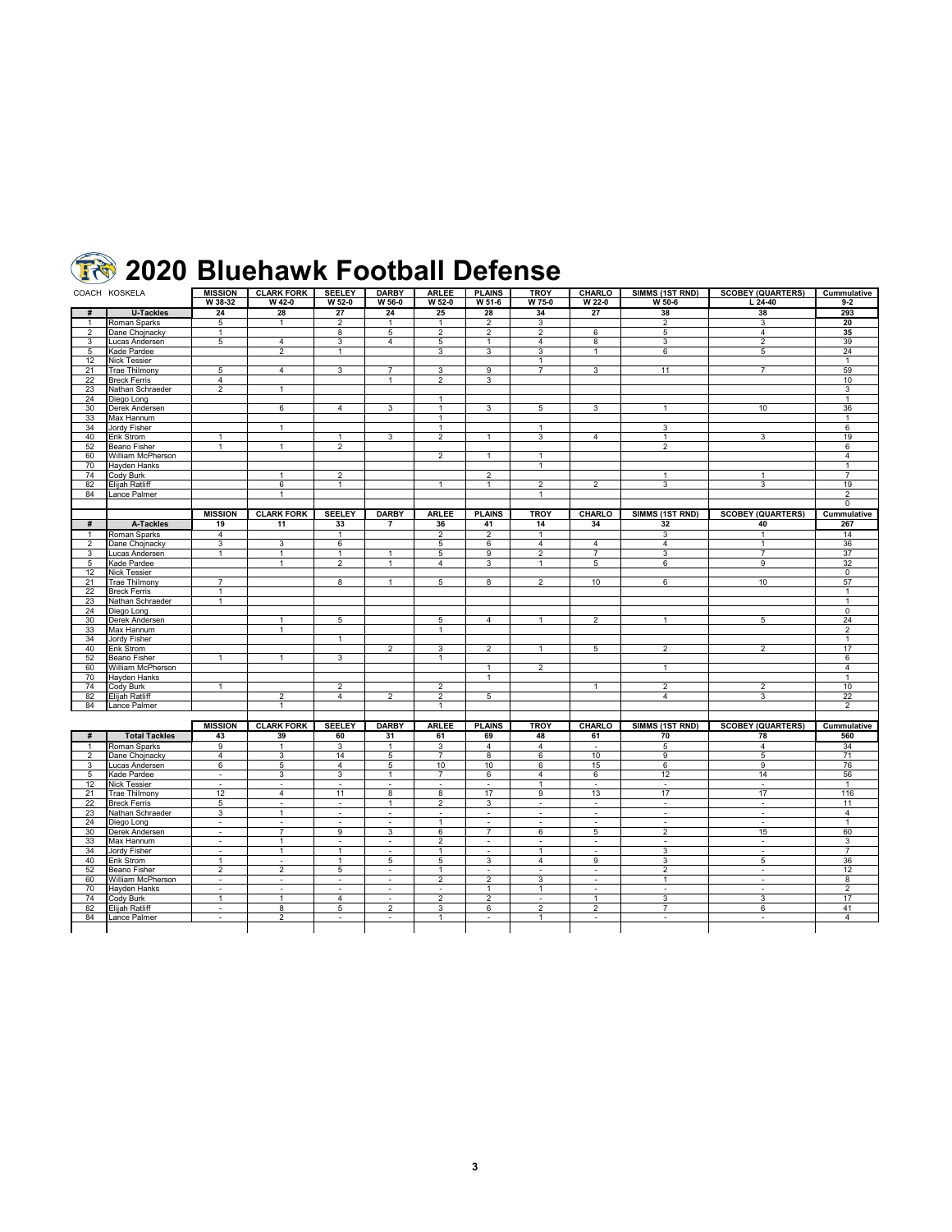## **Bluehawk Football Defense**

|                | COACH KOSKELA                     | <b>MISSION</b>           | <b>CLARK FORK</b> | <b>SEELEY</b>                    | <b>DARBY</b>             | <b>ARLEE</b>             | <b>PLAINS</b>       | <b>TROY</b>                  | CHARLO           | SIMMS (1ST RND)             | <b>SCOBEY (QUARTERS)</b> | Cummulative          |
|----------------|-----------------------------------|--------------------------|-------------------|----------------------------------|--------------------------|--------------------------|---------------------|------------------------------|------------------|-----------------------------|--------------------------|----------------------|
|                |                                   | W 38-32                  | W 42-0            | W 52-0                           | W 56-0                   | W 52-0                   | W 51-6              | W 75-0                       | W 22-0           | W 50-6                      | $L$ 24-40                | $9 - 2$              |
| #              | <b>U-Tackles</b>                  | 24                       | 28                | 27                               | 24                       | 25                       | 28                  | 34                           | 27               | 38                          | 38                       | 293                  |
| $\overline{1}$ | Roman Sparks                      | 5                        | $\mathbf{1}$      | $\overline{2}$                   | $\mathbf{1}$             | $\overline{1}$           | $\overline{2}$      | 3                            |                  | $\overline{2}$              | 3                        | 20                   |
| $\overline{2}$ | Dane Chojnacky                    | $\mathbf{1}$             |                   | 8                                | 5                        | 2                        | $\overline{2}$      | $\overline{2}$               | 6                | 5                           | $\overline{4}$           | 35                   |
| 3              | Lucas Andersen                    | 5                        | $\overline{4}$    | 3                                | $\overline{4}$           | 5                        | $\mathbf{1}$        | $\overline{4}$               | 8                | 3                           | $\overline{2}$           | 39                   |
| 5              | Kade Pardee                       |                          | $\overline{c}$    | $\mathbf{1}$                     |                          | 3                        | 3                   | 3                            | $\mathbf{1}$     | 6                           | 5                        | 24                   |
| 12             | Nick Tessier                      |                          |                   |                                  |                          |                          |                     | $\mathbf{1}$                 |                  |                             |                          | $\mathbf{1}$         |
| 21             | <b>Trae Thilmony</b>              | 5                        | $\overline{4}$    | 3                                | $\overline{7}$           | 3                        | 9                   | $\overline{7}$               | 3                | 11                          | $\overline{7}$           | 59                   |
| 22             | <b>Breck Ferris</b>               | $\overline{4}$           |                   |                                  | $\overline{1}$           | $\overline{2}$           | 3                   |                              |                  |                             |                          | 10                   |
| 23             | Nathan Schraeder                  | $\overline{2}$           | $\mathbf{1}$      |                                  |                          |                          |                     |                              |                  |                             |                          | 3                    |
| 24             | Diego Long                        |                          |                   |                                  |                          | $\mathbf{1}$             |                     |                              |                  |                             |                          | $\mathbf{1}$         |
| 30             | Derek Andersen                    |                          | 6                 | $\overline{4}$                   | 3                        | $\mathbf{1}$             | 3                   | 5                            | 3                | $\mathbf{1}$                | 10                       | 36                   |
| 33             | Max Hannum                        |                          |                   |                                  |                          | $\mathbf{1}$             |                     |                              |                  |                             |                          | $\mathbf{1}$         |
| 34             | Jordy Fisher                      |                          | $\overline{1}$    |                                  |                          | $\overline{1}$           |                     | $\overline{1}$               |                  | 3                           |                          | 6                    |
| 40             | Erik Strom                        | $\mathbf{1}$             |                   | $\mathbf{1}$                     | 3                        | $\overline{2}$           | $\overline{1}$      | 3                            | $\overline{4}$   | $\overline{1}$              | 3                        | 19                   |
| 52             | Beano Fisher                      | $\mathbf{1}$             | $\mathbf{1}$      | $\overline{2}$                   |                          |                          |                     |                              |                  | $\overline{2}$              |                          | 6                    |
| 60             |                                   |                          |                   |                                  |                          | $\overline{2}$           |                     |                              |                  |                             |                          |                      |
|                | William McPherson                 |                          |                   |                                  |                          |                          | $\mathbf{1}$        | $\mathbf{1}$<br>$\mathbf{1}$ |                  |                             |                          | 4<br>$\mathbf{1}$    |
| 70             | Hayden Hanks                      |                          |                   |                                  |                          |                          |                     |                              |                  |                             |                          |                      |
| 74             | Cody Burk                         |                          | $\overline{1}$    | $\overline{2}$<br>$\overline{1}$ |                          | $\overline{1}$           | $\overline{2}$      | $\overline{2}$               |                  | $\overline{1}$<br>3         | $\mathbf{1}$<br>3        | $\overline{7}$<br>19 |
| 82             | Elijah Ratliff                    |                          | 6<br>$\mathbf{1}$ |                                  |                          |                          | $\mathbf{1}$        |                              | $\overline{2}$   |                             |                          |                      |
| 84             | Lance Palmer                      |                          |                   |                                  |                          |                          |                     | $\overline{1}$               |                  |                             |                          | $\overline{2}$       |
|                |                                   |                          |                   |                                  |                          |                          |                     |                              |                  |                             |                          | 0                    |
|                |                                   | <b>MISSION</b>           | <b>CLARK FORK</b> | <b>SEELEY</b>                    | <b>DARBY</b>             | <b>ARLEE</b>             | <b>PLAINS</b>       | <b>TROY</b>                  | CHARLO           | SIMMS (1ST RND)             | <b>SCOBEY (QUARTERS)</b> | Cummulative          |
| #              | A-Tackles                         | 19                       | 11                | 33                               | $\overline{7}$           | 36                       | 41                  | 14                           | 34               | 32                          | 40                       | 267                  |
| $\mathbf{1}$   | Roman Sparks                      | 4                        |                   | $\mathbf{1}$                     |                          | $\overline{2}$           | $\overline{2}$      | $\overline{1}$               |                  | 3                           | $\mathbf{1}$             | 14                   |
| $\overline{2}$ | Dane Chojnacky                    | 3                        | 3                 | 6                                |                          | 5                        | 6                   | $\overline{4}$               | $\overline{4}$   | $\overline{4}$              | $\mathbf{1}$             | 36                   |
| 3              | Lucas Andersen                    | $\mathbf{1}$             | $\mathbf{1}$      | $\mathbf{1}$                     | $\mathbf{1}$             | 5                        | 9                   | $\overline{2}$               | $\overline{7}$   | 3                           | $\overline{7}$           | 37                   |
| 5              | Kade Pardee                       |                          | $\overline{1}$    | $\overline{2}$                   | $\overline{1}$           | $\overline{4}$           | 3                   | $\overline{1}$               | 5                | 6                           | 9                        | 32                   |
| 12             | <b>Nick Tessier</b>               |                          |                   |                                  |                          |                          |                     |                              |                  |                             |                          | $\Omega$             |
| 21             | <b>Trae Thilmony</b>              | $\overline{7}$           |                   | 8                                | $\mathbf{1}$             | 5                        | 8                   | $\overline{2}$               | 10               | 6                           | 10                       | 57                   |
| 22             | Breck Ferris                      | $\mathbf{1}$             |                   |                                  |                          |                          |                     |                              |                  |                             |                          | $\mathbf{1}$         |
| 23             | Nathan Schraeder                  | $\mathbf{1}$             |                   |                                  |                          |                          |                     |                              |                  |                             |                          | $\mathbf{1}$         |
| 24             | Diego Long                        |                          |                   |                                  |                          |                          |                     |                              |                  |                             |                          | $\overline{0}$       |
| 30             | Derek Andersen                    |                          | 1                 | 5                                |                          | 5                        | $\overline{4}$      | $\mathbf{1}$                 | $\overline{2}$   | $\mathbf{1}$                | 5                        | 24                   |
| 33             | Max Hannum                        |                          | 1                 |                                  |                          | $\mathbf{1}$             |                     |                              |                  |                             |                          | $\overline{2}$       |
| 34             | Jordy Fisher                      |                          |                   | $\mathbf{1}$                     |                          |                          |                     |                              |                  |                             |                          | $\mathbf{1}$         |
| 40             | Erik Strom                        |                          |                   |                                  | 2                        | 3                        | $\overline{2}$      | $\mathbf{1}$                 | 5                | 2                           | $\overline{2}$           | 17                   |
| 52             | Beano Fisher                      | $\mathbf{1}$             | $\mathbf{1}$      | 3                                |                          | $\mathbf{1}$             |                     |                              |                  |                             |                          | 6                    |
| 60             | William McPherson                 |                          |                   |                                  |                          |                          | $\mathbf{1}$        | $\overline{2}$               |                  | $\mathbf{1}$                |                          | $\overline{4}$       |
| 70             | Havden Hanks                      |                          |                   |                                  |                          |                          | $\mathbf{1}$        |                              |                  |                             |                          | $\mathbf{1}$         |
| 74             | Cody Burk                         | -1                       |                   | $\overline{2}$                   |                          | $\overline{2}$           |                     |                              | $\mathbf{1}$     | $\overline{2}$              | $\overline{2}$           | 10                   |
| 82             | Elijah Ratliff                    |                          | $\overline{2}$    | $\overline{4}$                   | $\overline{2}$           | $\overline{2}$           | 5                   |                              |                  | $\overline{4}$              | 3                        | 22                   |
| 84             | Lance Palmer                      |                          | 1                 |                                  |                          | $\mathbf{1}$             |                     |                              |                  |                             |                          | $\overline{2}$       |
|                |                                   |                          |                   |                                  |                          |                          |                     |                              |                  |                             |                          |                      |
|                |                                   | <b>MISSION</b>           | <b>CLARK FORK</b> | <b>SEELEY</b>                    | <b>DARBY</b>             | <b>ARLEE</b>             | <b>PLAINS</b>       | <b>TROY</b>                  | CHARLO           | SIMMS (1ST RND)             | <b>SCOBEY (QUARTERS)</b> | Cummulative          |
| #              | <b>Total Tackles</b>              | 43                       | 39                | 60                               | 31                       | 61                       | 69                  | 48                           | 61               | 70                          | 78                       | 560                  |
| $\mathbf{1}$   | Roman Sparks                      | 9                        | $\mathbf{1}$      | 3                                | $\mathbf{1}$             | 3                        | $\overline{4}$      | $\overline{4}$               | $\sim$           | 5                           | $\overline{4}$           | 34                   |
| $\overline{c}$ | Dane Chojnacky                    | 4                        | 3                 | 14                               | 5                        | $\overline{7}$           | 8                   | 6                            | 10               | 9                           | 5                        | 71                   |
| 3              | Lucas Andersen                    | 6                        | 5                 | $\overline{4}$                   | 5                        | 10                       | 10                  | 6                            | 15               | 6                           | $\overline{9}$           | 76                   |
| 5              | Kade Pardee                       | ÷                        | 3                 | 3                                | $\mathbf{1}$             | $\overline{7}$           | 6                   | $\overline{4}$               | 6                | 12                          | 14                       | 56                   |
| 12             | Nick Tessier                      | $\sim$                   | $\mathbf{r}$      | ÷.                               | $\sim$                   | $\mathbf{r}$             | $\mathbf{r}$        | 1                            | $\sim$           | ÷.                          | $\sim$                   | $\mathbf{1}$         |
| 21             | Trae Thilmony                     | 12                       | $\overline{4}$    | 11                               | $\overline{8}$           | 8                        | 17                  | 9                            | 13               | 17                          | 17                       | 116                  |
| 22             | <b>Breck Ferris</b>               | 5                        | ä,                | $\overline{\phantom{a}}$         | $\mathbf{1}$             | 2                        | 3                   | ٠                            | $\blacksquare$   | $\overline{\phantom{a}}$    |                          | 11                   |
| 23             | Nathan Schraeder                  | 3                        | $\overline{1}$    | $\sim$                           | $\sim$                   | $\blacksquare$           | $\sim$              | $\sim$                       | $\omega$         | $\mathcal{L}_{\mathcal{A}}$ | $\sim$                   | $\overline{4}$       |
| 24             | Diego Long                        | $\sim$                   | $\sim$            | ÷.                               | $\sim$                   | $\mathbf{1}$             | $\equiv$            | $\sim$                       | $\sim$           | $\sim$                      | $\sim$                   | $\mathbf{1}$         |
| 30             | Derek Andersen                    | ÷                        | $\overline{7}$    | 9                                | 3                        | 6                        | $\overline{7}$      | 6                            | 5                | $\overline{2}$              | 15                       | 60                   |
| 33             | Max Hannum                        | $\sim$                   | $\overline{1}$    | $\sim$                           | $\sim$                   | $\overline{2}$           | $\sim$              | $\sim$                       | $\sim$           | $\sim$                      | $\sim$                   | 3                    |
|                | Jordy Fisher                      |                          | $\mathbf{1}$      | $\mathbf{1}$                     |                          | $\mathbf{1}$             |                     | $\overline{1}$               |                  | 3                           |                          | $\overline{7}$       |
| 34<br>40       |                                   | $\mathbf{1}$             | $\mathbf{r}$      | $\mathbf{1}$                     | ٠                        |                          | $\blacksquare$<br>3 | 4                            | ٠<br>9           | 3                           | $\blacksquare$           | 36                   |
| 52             | Erik Strom<br><b>Beano Fisher</b> | $\overline{2}$           | $\overline{2}$    | 5                                | 5                        | 5<br>$\mathbf{1}$        |                     |                              |                  | $\overline{2}$              | 5                        | 12                   |
|                |                                   |                          |                   |                                  | $\sim$                   |                          | $\omega$            | $\overline{\phantom{a}}$     | $\omega$         |                             | $\blacksquare$           |                      |
| 60             | William McPherson                 | $\sim$                   | $\sim$            | $\blacksquare$                   | $\sim$<br>$\overline{a}$ | $\overline{2}$           | $\overline{2}$      | 3<br>1                       | $\blacksquare$   | $\mathbf{1}$                | $\blacksquare$           | 8                    |
| 70             | Hayden Hanks                      | $\sim$                   | $\mathbf{r}$      | $\sim$                           |                          | $\overline{\phantom{a}}$ | $\overline{1}$      |                              | $\sim$           | $\overline{a}$              | $\sim$                   | $\overline{2}$       |
| 74             | Cody Burk                         | $\mathbf{1}$             | $\mathbf{1}$      | $\overline{4}$                   | $\sim$                   | $\overline{2}$           | $\overline{2}$      | $\blacksquare$               | $\mathbf{1}$     | 3                           | 3                        | 17                   |
| 82             | Elijah Ratliff                    | $\overline{\phantom{a}}$ | 8                 | 5                                | $\overline{a}$           | 3                        | 6                   | $\overline{\mathbf{c}}$      | $\boldsymbol{2}$ | $\overline{7}$              | 6                        | 41                   |
| 84             | Lance Palmer                      | $\sim$                   | $\overline{2}$    | $\sim$                           | $\sim$                   | $\mathbf{1}$             | $\sim$              | $\overline{1}$               | $\sim$           | $\sim$                      | $\sim$                   | $\overline{4}$       |
|                |                                   |                          |                   |                                  |                          |                          |                     |                              |                  |                             |                          |                      |